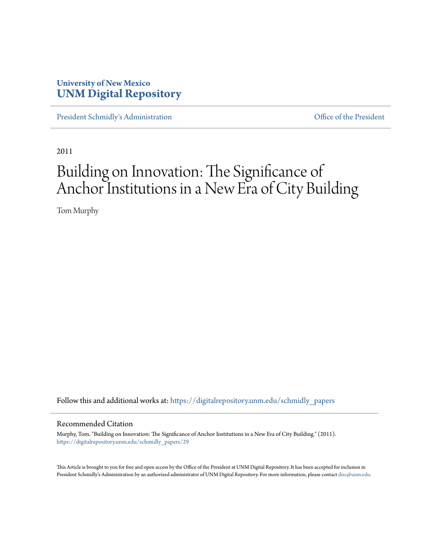## **University of New Mexico [UNM Digital Repository](https://digitalrepository.unm.edu?utm_source=digitalrepository.unm.edu%2Fschmidly_papers%2F29&utm_medium=PDF&utm_campaign=PDFCoverPages)**

[President Schmidly's Administration](https://digitalrepository.unm.edu/schmidly_papers?utm_source=digitalrepository.unm.edu%2Fschmidly_papers%2F29&utm_medium=PDF&utm_campaign=PDFCoverPages) **Communistration** [Office of the President](https://digitalrepository.unm.edu/ofc_president?utm_source=digitalrepository.unm.edu%2Fschmidly_papers%2F29&utm_medium=PDF&utm_campaign=PDFCoverPages)

2011

# Building on Innovation: The Significance of Anchor Institutions in a New Era of City Building

Tom Murphy

Follow this and additional works at: [https://digitalrepository.unm.edu/schmidly\\_papers](https://digitalrepository.unm.edu/schmidly_papers?utm_source=digitalrepository.unm.edu%2Fschmidly_papers%2F29&utm_medium=PDF&utm_campaign=PDFCoverPages)

#### Recommended Citation

Murphy, Tom. "Building on Innovation: The Significance of Anchor Institutions in a New Era of City Building." (2011). [https://digitalrepository.unm.edu/schmidly\\_papers/29](https://digitalrepository.unm.edu/schmidly_papers/29?utm_source=digitalrepository.unm.edu%2Fschmidly_papers%2F29&utm_medium=PDF&utm_campaign=PDFCoverPages)

This Article is brought to you for free and open access by the Office of the President at UNM Digital Repository. It has been accepted for inclusion in President Schmidly's Administration by an authorized administrator of UNM Digital Repository. For more information, please contact [disc@unm.edu](mailto:disc@unm.edu).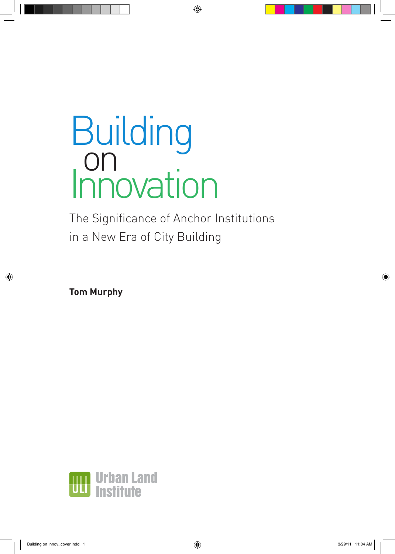The Significance of Anchor Institutions in a New Era of City Building

**Tom Murphy**

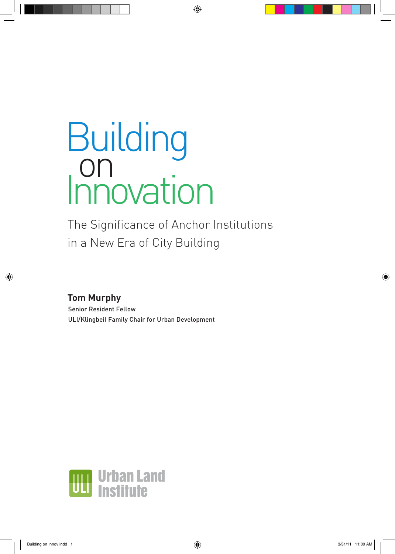# Building on<br>Innovation

The Significance of Anchor Institutions in a New Era of City Building

# **Tom Murphy**

Senior Resident Fellow ULI/Klingbeil Family Chair for Urban Development

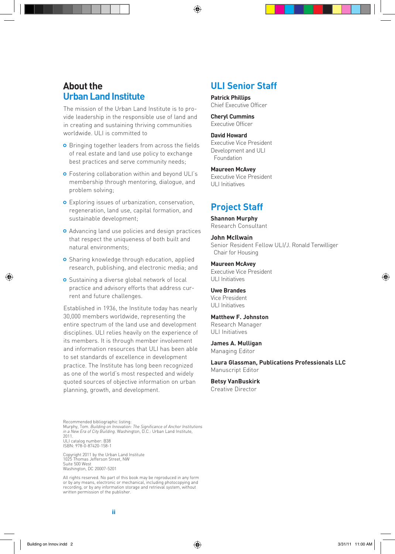## **About the Urban Land Institute**

The mission of the Urban Land Institute is to provide leadership in the responsible use of land and in creating and sustaining thriving communities worldwide. ULI is committed to

- **o** Bringing together leaders from across the fields of real estate and land use policy to exchange best practices and serve community needs;
- **o** Fostering collaboration within and beyond ULI's membership through mentoring, dialogue, and problem solving;
- Exploring issues of urbanization, conservation, regeneration, land use, capital formation, and sustainable development;
- Advancing land use policies and design practices that respect the uniqueness of both built and natural environments;
- **o** Sharing knowledge through education, applied research, publishing, and electronic media; and
- **o** Sustaining a diverse global network of local practice and advisory efforts that address current and future challenges.

Established in 1936, the Institute today has nearly 30,000 members worldwide, representing the entire spectrum of the land use and development disciplines. ULI relies heavily on the experience of its members. It is through member involvement and information resources that ULI has been able to set standards of excellence in development practice. The Institute has long been recognized as one of the world's most respected and widely quoted sources of objective information on urban planning, growth, and development.

## **ULI Senior Staff**

**Patrick Phillips** Chief Executive Officer

**Cheryl Cummins** Executive Officer

**David Howard** Executive Vice President Development and ULI Foundation

**Maureen McAvey** Executive Vice President ULI Initiatives

## **Project Staff**

**Shannon Murphy** Research Consultant

**John McIlwain** Senior Resident Fellow ULI/J. Ronald Terwilliger Chair for Housing

**Maureen McAvey** Executive Vice President ULI Initiatives

**Uwe Brandes** Vice President ULI Initiatives

**Matthew F. Johnston** Research Manager ULI Initiatives

**James A. Mulligan** Managing Editor

**Laura Glassman, Publications Professionals LLC** Manuscript Editor

**Betsy VanBuskirk** Creative Director

Recommended bibliographic listing:<br>Murphy, Tom. *Building on Innovation: The Significance of Anchor Institutions*<br>*in a New Era of City Building.* Washington, D.C.: Urban Land Institute, 2011. ULI catalog number: B38 ISBN: 978-0-87420-158-1

Copyright 2011 by the Urban Land Institute 1025 Thomas Jefferson Street, NW Suite 500 West Washington, DC 20007-5201

All rights reserved. No part of this book may be reproduced in any form or by any means, electronic or mechanical, including photocopying and recording, or by any information storage and retrieval system, without written permission of the publisher.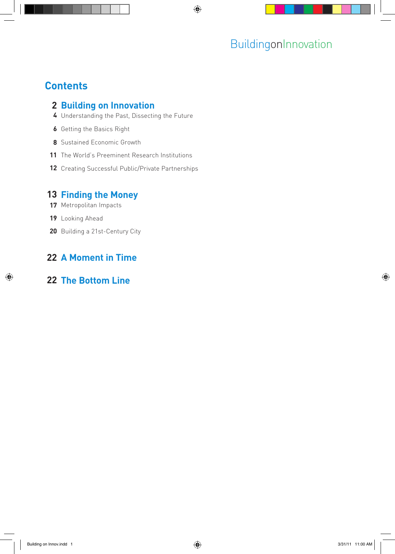# **Contents**

## **2 Building on Innovation**

- Understanding the Past, Dissecting the Future
- Getting the Basics Right
- Sustained Economic Growth
- The World's Preeminent Research Institutions
- 12 Creating Successful Public/Private Partnerships

## **Finding the Money**

- Metropolitan Impacts
- Looking Ahead
- 20 Building a 21st-Century City

# **A Moment in Time**

## **The Bottom Line**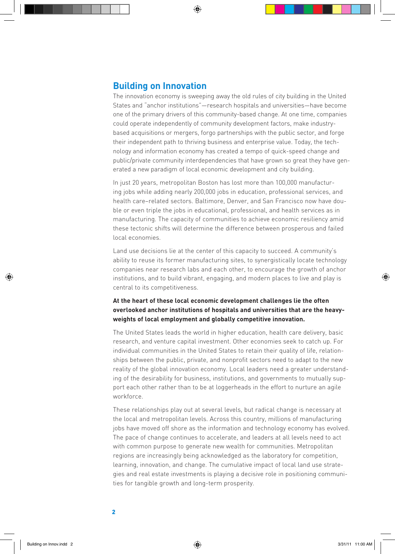The innovation economy is sweeping away the old rules of city building in the United States and "anchor institutions"—research hospitals and universities—have become one of the primary drivers of this community-based change. At one time, companies could operate independently of community development factors, make industrybased acquisitions or mergers, forgo partnerships with the public sector, and forge their independent path to thriving business and enterprise value. Today, the technology and information economy has created a tempo of quick-speed change and public/private community interdependencies that have grown so great they have generated a new paradigm of local economic development and city building.

In just 20 years, metropolitan Boston has lost more than 100,000 manufacturing jobs while adding nearly 200,000 jobs in education, professional services, and health care–related sectors. Baltimore, Denver, and San Francisco now have double or even triple the jobs in educational, professional, and health services as in manufacturing. The capacity of communities to achieve economic resiliency amid these tectonic shifts will determine the difference between prosperous and failed local economies.

Land use decisions lie at the center of this capacity to succeed. A community's ability to reuse its former manufacturing sites, to synergistically locate technology companies near research labs and each other, to encourage the growth of anchor institutions, and to build vibrant, engaging, and modern places to live and play is central to its competitiveness.

#### **At the heart of these local economic development challenges lie the often overlooked anchor institutions of hospitals and universities that are the heavyweights of local employment and globally competitive innovation.**

The United States leads the world in higher education, health care delivery, basic research, and venture capital investment. Other economies seek to catch up. For individual communities in the United States to retain their quality of life, relationships between the public, private, and nonprofit sectors need to adapt to the new reality of the global innovation economy. Local leaders need a greater understanding of the desirability for business, institutions, and governments to mutually support each other rather than to be at loggerheads in the effort to nurture an agile workforce.

These relationships play out at several levels, but radical change is necessary at the local and metropolitan levels. Across this country, millions of manufacturing jobs have moved off shore as the information and technology economy has evolved. The pace of change continues to accelerate, and leaders at all levels need to act with common purpose to generate new wealth for communities. Metropolitan regions are increasingly being acknowledged as the laboratory for competition, learning, innovation, and change. The cumulative impact of local land use strategies and real estate investments is playing a decisive role in positioning communities for tangible growth and long-term prosperity.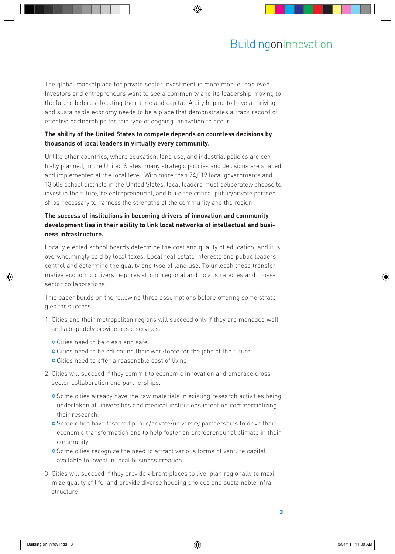The global marketplace for private sector investment is more mobile than ever. Investors and entrepreneurs want to see a community and its leadership moving to the future before allocating their time and capital. A city hoping to have a thriving and sustainable economy needs to be a place that demonstrates a track record of effective partnerships for this type of ongoing innovation to occur.

#### **The ability of the United States to compete depends on countless decisions by thousands of local leaders in virtually every community.**

Unlike other countries, where education, land use, and industrial policies are centrally planned, in the United States, many strategic policies and decisions are shaped and implemented at the local level. With more than 74,019 local governments and 13,506 school districts in the United States, local leaders must deliberately choose to invest in the future, be entrepreneurial, and build the critical public/private partnerships necessary to harness the strengths of the community and the region.

#### **The success of institutions in becoming drivers of innovation and community development lies in their ability to link local networks of intellectual and business infrastructure.**

Locally elected school boards determine the cost and quality of education, and it is overwhelmingly paid by local taxes. Local real estate interests and public leaders control and determine the quality and type of land use. To unleash these transformative economic drivers requires strong regional and local strategies and crosssector collaborations.

This paper builds on the following three assumptions before offering some strategies for success:

- 1. Cities and their metropolitan regions will succeed only if they are managed well and adequately provide basic services.
	- Cities need to be clean and safe.
	- o Cities need to be educating their workforce for the jobs of the future.
	- o Cities need to offer a reasonable cost of living.
- 2. Cities will succeed if they commit to economic innovation and embrace crosssector collaboration and partnerships.
	- o Some cities already have the raw materials in existing research activities being undertaken at universities and medical institutions intent on commercializing their research.
	- **O** Some cities have fostered public/private/university partnerships to drive their economic transformation and to help foster an entrepreneurial climate in their community.
	- **O** Some cities recognize the need to attract various forms of venture capital available to invest in local business creation.
- 3. Cities will succeed if they provide vibrant places to live, plan regionally to maximize quality of life, and provide diverse housing choices and sustainable infrastructure.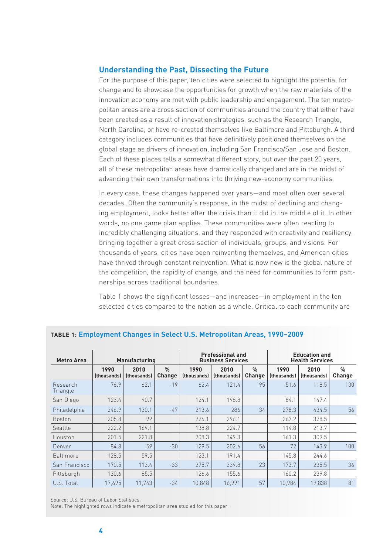#### **Understanding the Past, Dissecting the Future**

For the purpose of this paper, ten cities were selected to highlight the potential for change and to showcase the opportunities for growth when the raw materials of the innovation economy are met with public leadership and engagement. The ten metropolitan areas are a cross section of communities around the country that either have been created as a result of innovation strategies, such as the Research Triangle, North Carolina, or have re-created themselves like Baltimore and Pittsburgh. A third category includes communities that have definitively positioned themselves on the global stage as drivers of innovation, including San Francisco/San Jose and Boston. Each of these places tells a somewhat different story, but over the past 20 years, all of these metropolitan areas have dramatically changed and are in the midst of advancing their own transformations into thriving new-economy communities.

In every case, these changes happened over years—and most often over several decades. Often the community's response, in the midst of declining and changing employment, looks better after the crisis than it did in the middle of it. In other words, no one game plan applies. These communities were often reacting to incredibly challenging situations, and they responded with creativity and resiliency, bringing together a great cross section of individuals, groups, and visions. For thousands of years, cities have been reinventing themselves, and American cities have thrived through constant reinvention. What is now new is the global nature of the competition, the rapidity of change, and the need for communities to form partnerships across traditional boundaries.

Table 1 shows the significant losses—and increases—in employment in the ten selected cities compared to the nation as a whole. Critical to each community are

| Metro Area           | <b>Manufacturing</b> |                            |                         | <b>Professional and</b><br><b>Business Services</b> |                     |                         | <b>Education and</b><br><b>Health Services</b> |                     |                         |
|----------------------|----------------------|----------------------------|-------------------------|-----------------------------------------------------|---------------------|-------------------------|------------------------------------------------|---------------------|-------------------------|
|                      | 1990<br>(thousands)  | 2010<br><i>(thousands)</i> | $\frac{0}{n}$<br>Change | 1990<br><i>(thousands)</i>                          | 2010<br>(thousands) | $\frac{9}{6}$<br>Change | 1990<br><i>(thousands)</i>                     | 2010<br>(thousands) | $\frac{0}{n}$<br>Change |
| Research<br>Triangle | 76.9                 | 62.1                       | $-19$                   | 62.4                                                | 121.4               | 95                      | 51.6                                           | 118.5               | 130                     |
| San Diego            | 123.4                | 90.7                       |                         | 124.1                                               | 198.8               |                         | 84.1                                           | 147.4               |                         |
| Philadelphia         | 246.9                | 130.1                      | $-47$                   | 213.6                                               | 286                 | 34                      | 278.3                                          | 434.5               | 56                      |
| <b>Boston</b>        | 205.8                | 92                         |                         | 226.1                                               | 296.1               |                         | 267.2                                          | 378.5               |                         |
| Seattle              | 222.2                | 169.1                      |                         | 138.8                                               | 224.7               |                         | 114.8                                          | 213.7               |                         |
| Houston              | 201.5                | 221.8                      |                         | 208.3                                               | 349.3               |                         | 161.3                                          | 309.5               |                         |
| Denver               | 84.8                 | 59                         | $-30$                   | 129.5                                               | 202.6               | 56                      | 72                                             | 143.9               | 100                     |
| <b>Baltimore</b>     | 128.5                | 59.5                       |                         | 123.1                                               | 191.4               |                         | 145.8                                          | 244.6               |                         |
| San Francisco        | 170.5                | 113.4                      | $-33$                   | 275.7                                               | 339.8               | 23                      | 173.7                                          | 235.5               | 36                      |
| Pittsburgh           | 130.6                | 85.5                       |                         | 126.6                                               | 155.6               |                         | 160.2                                          | 239.8               |                         |
| U.S. Total           | 17,695               | 11,743                     | $-34$                   | 10,848                                              | 16,991              | 57                      | 10,984                                         | 19,838              | 81                      |

#### **Table 1: Employment Changes in Select U.S. Metropolitan Areas, 1990–2009**

Source: U.S. Bureau of Labor Statistics.

Note: The highlighted rows indicate a metropolitan area studied for this paper.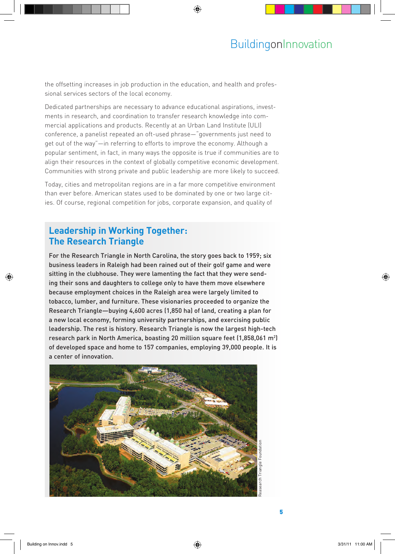the offsetting increases in job production in the education, and health and professional services sectors of the local economy.

Dedicated partnerships are necessary to advance educational aspirations, investments in research, and coordination to transfer research knowledge into commercial applications and products. Recently at an Urban Land Institute (ULI) conference, a panelist repeated an oft-used phrase—"governments just need to get out of the way"—in referring to efforts to improve the economy. Although a popular sentiment, in fact, in many ways the opposite is true if communities are to align their resources in the context of globally competitive economic development. Communities with strong private and public leadership are more likely to succeed.

Today, cities and metropolitan regions are in a far more competitive environment than ever before. American states used to be dominated by one or two large cities. Of course, regional competition for jobs, corporate expansion, and quality of

## **Leadership in Working Together: The Research Triangle**

For the Research Triangle in North Carolina, the story goes back to 1959; six business leaders in Raleigh had been rained out of their golf game and were sitting in the clubhouse. They were lamenting the fact that they were sending their sons and daughters to college only to have them move elsewhere because employment choices in the Raleigh area were largely limited to tobacco, lumber, and furniture. These visionaries proceeded to organize the Research Triangle—buying 4,600 acres (1,850 ha) of land, creating a plan for a new local economy, forming university partnerships, and exercising public leadership. The rest is history. Research Triangle is now the largest high-tech research park in North America, boasting 20 million square feet (1,858,061 m²) of developed space and home to 157 companies, employing 39,000 people. It is a center of innovation.

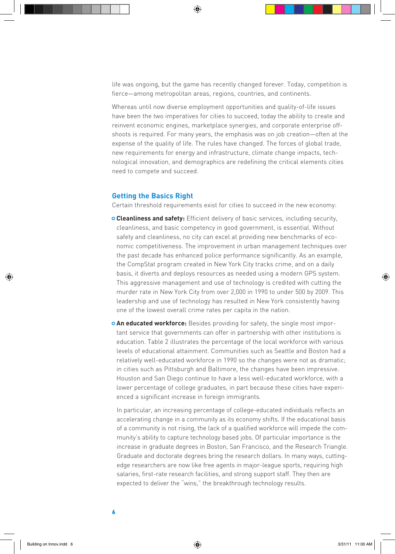life was ongoing, but the game has recently changed forever. Today, competition is fierce—among metropolitan areas, regions, countries, and continents.

Whereas until now diverse employment opportunities and quality-of-life issues have been the two imperatives for cities to succeed, today the ability to create and reinvent economic engines, marketplace synergies, and corporate enterprise offshoots is required. For many years, the emphasis was on job creation—often at the expense of the quality of life. The rules have changed. The forces of global trade, new requirements for energy and infrastructure, climate change impacts, technological innovation, and demographics are redefining the critical elements cities need to compete and succeed.

#### **Getting the Basics Right**

Certain threshold requirements exist for cities to succeed in the new economy:

- **Cleanliness and safety:** Efficient delivery of basic services, including security, cleanliness, and basic competency in good government, is essential. Without safety and cleanliness, no city can excel at providing new benchmarks of economic competitiveness. The improvement in urban management techniques over the past decade has enhanced police performance significantly. As an example, the CompStat program created in New York City tracks crime, and on a daily basis, it diverts and deploys resources as needed using a modern GPS system. This aggressive management and use of technology is credited with cutting the murder rate in New York City from over 2,000 in 1990 to under 500 by 2009. This leadership and use of technology has resulted in New York consistently having one of the lowest overall crime rates per capita in the nation.
- **An educated workforce:** Besides providing for safety, the single most important service that governments can offer in partnership with other institutions is education. Table 2 illustrates the percentage of the local workforce with various levels of educational attainment. Communities such as Seattle and Boston had a relatively well-educated workforce in 1990 so the changes were not as dramatic; in cities such as Pittsburgh and Baltimore, the changes have been impressive. Houston and San Diego continue to have a less well-educated workforce, with a lower percentage of college graduates, in part because these cities have experienced a significant increase in foreign immigrants.

In particular, an increasing percentage of college-educated individuals reflects an accelerating change in a community as its economy shifts. If the educational basis of a community is not rising, the lack of a qualified workforce will impede the community's ability to capture technology based jobs. Of particular importance is the increase in graduate degrees in Boston, San Francisco, and the Research Triangle. Graduate and doctorate degrees bring the research dollars. In many ways, cuttingedge researchers are now like free agents in major-league sports, requiring high salaries, first-rate research facilities, and strong support staff. They then are expected to deliver the "wins," the breakthrough technology results.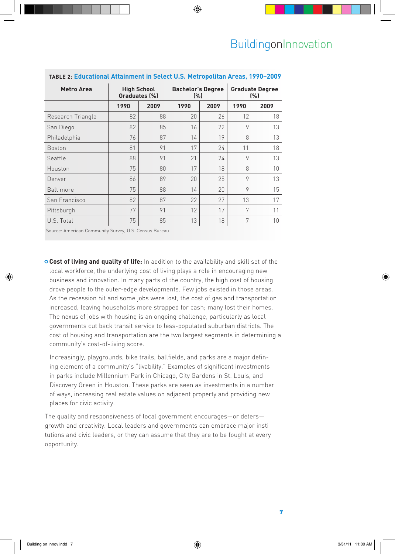| <b>Metro Area</b> | <b>High School</b><br>Graduates (%) |      | <b>Bachelor's Degree</b><br>(%) |      | <b>Graduate Degree</b><br>(%) |      |
|-------------------|-------------------------------------|------|---------------------------------|------|-------------------------------|------|
|                   | 1990                                | 2009 | 1990                            | 2009 | 1990                          | 2009 |
| Research Triangle | 82                                  | 88   | 20                              | 26   | 12                            | 18   |
| San Diego         | 82                                  | 85   | 16                              | 22   | 9                             | 13   |
| Philadelphia      | 76                                  | 87   | 14                              | 19   | 8                             | 13   |
| <b>Boston</b>     | 81                                  | 91   | 17                              | 24   | 11                            | 18   |
| Seattle           | 88                                  | 91   | 21                              | 24   | 9                             | 13   |
| Houston           | 75                                  | 80   | 17                              | 18   | 8                             | 10   |
| Denver            | 86                                  | 89   | 20                              | 25   | 9                             | 13   |
| <b>Baltimore</b>  | 75                                  | 88   | 14                              | 20   | 9                             | 15   |
| San Francisco     | 82                                  | 87   | 22                              | 27   | 13                            | 17   |
| Pittsburgh        | 77                                  | 91   | 12                              | 17   | 7                             | 11   |
| U.S. Total        | 75                                  | 85   | 13                              | 18   | 7                             | 10   |

#### **Table 2: Educational Attainment in Select U.S. Metropolitan Areas, 1990–2009**

Source: American Community Survey, U.S. Census Bureau.

**Cost of living and quality of life:** In addition to the availability and skill set of the local workforce, the underlying cost of living plays a role in encouraging new business and innovation. In many parts of the country, the high cost of housing drove people to the outer-edge developments. Few jobs existed in those areas. As the recession hit and some jobs were lost, the cost of gas and transportation increased, leaving households more strapped for cash; many lost their homes. The nexus of jobs with housing is an ongoing challenge, particularly as local governments cut back transit service to less-populated suburban districts. The cost of housing and transportation are the two largest segments in determining a community's cost-of-living score.

Increasingly, playgrounds, bike trails, ballfields, and parks are a major defining element of a community's "livability." Examples of significant investments in parks include Millennium Park in Chicago, City Gardens in St. Louis, and Discovery Green in Houston. These parks are seen as investments in a number of ways, increasing real estate values on adjacent property and providing new places for civic activity.

The quality and responsiveness of local government encourages—or deters growth and creativity. Local leaders and governments can embrace major institutions and civic leaders, or they can assume that they are to be fought at every opportunity.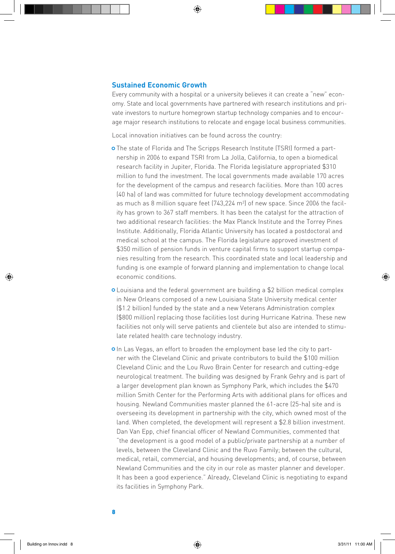#### **Sustained Economic Growth**

Every community with a hospital or a university believes it can create a "new" economy. State and local governments have partnered with research institutions and private investors to nurture homegrown startup technology companies and to encourage major research institutions to relocate and engage local business communities.

Local innovation initiatives can be found across the country:

- The state of Florida and The Scripps Research Institute (TSRI) formed a partnership in 2006 to expand TSRI from La Jolla, California, to open a biomedical research facility in Jupiter, Florida. The Florida legislature appropriated \$310 million to fund the investment. The local governments made available 170 acres for the development of the campus and research facilities. More than 100 acres (40 ha) of land was committed for future technology development accommodating as much as 8 million square feet (743,224 m2 ) of new space. Since 2006 the facility has grown to 367 staff members. It has been the catalyst for the attraction of two additional research facilities: the Max Planck Institute and the Torrey Pines Institute. Additionally, Florida Atlantic University has located a postdoctoral and medical school at the campus. The Florida legislature approved investment of \$350 million of pension funds in venture capital firms to support startup companies resulting from the research. This coordinated state and local leadership and funding is one example of forward planning and implementation to change local economic conditions.
- Louisiana and the federal government are building a \$2 billion medical complex in New Orleans composed of a new Louisiana State University medical center (\$1.2 billion) funded by the state and a new Veterans Administration complex (\$800 million) replacing those facilities lost during Hurricane Katrina. These new facilities not only will serve patients and clientele but also are intended to stimulate related health care technology industry.
- o In Las Vegas, an effort to broaden the employment base led the city to partner with the Cleveland Clinic and private contributors to build the \$100 million Cleveland Clinic and the Lou Ruvo Brain Center for research and cutting-edge neurological treatment. The building was designed by Frank Gehry and is part of a larger development plan known as Symphony Park, which includes the \$470 million Smith Center for the Performing Arts with additional plans for offices and housing. Newland Communities master planned the 61-acre (25-ha) site and is overseeing its development in partnership with the city, which owned most of the land. When completed, the development will represent a \$2.8 billion investment. Dan Van Epp, chief financial officer of Newland Communities, commented that "the development is a good model of a public/private partnership at a number of levels, between the Cleveland Clinic and the Ruvo Family; between the cultural, medical, retail, commercial, and housing developments; and, of course, between Newland Communities and the city in our role as master planner and developer. It has been a good experience." Already, Cleveland Clinic is negotiating to expand its facilities in Symphony Park.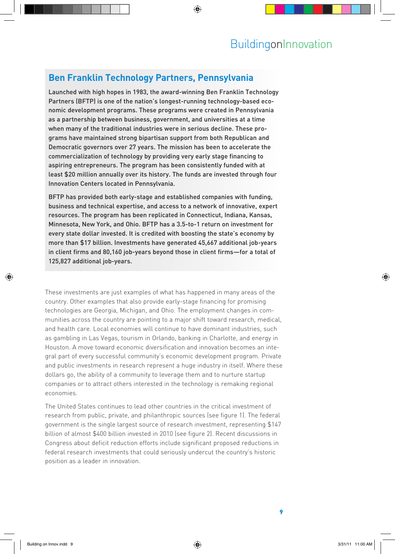## **Ben Franklin Technology Partners, Pennsylvania**

Launched with high hopes in 1983, the award-winning Ben Franklin Technology Partners (BFTP) is one of the nation's longest-running technology-based economic development programs. These programs were created in Pennsylvania as a partnership between business, government, and universities at a time when many of the traditional industries were in serious decline. These programs have maintained strong bipartisan support from both Republican and Democratic governors over 27 years. The mission has been to accelerate the commercialization of technology by providing very early stage financing to aspiring entrepreneurs. The program has been consistently funded with at least \$20 million annually over its history. The funds are invested through four Innovation Centers located in Pennsylvania.

BFTP has provided both early-stage and established companies with funding, business and technical expertise, and access to a network of innovative, expert resources. The program has been replicated in Connecticut, Indiana, Kansas, Minnesota, New York, and Ohio. BFTP has a 3.5-to-1 return on investment for every state dollar invested. It is credited with boosting the state's economy by more than \$17 billion. Investments have generated 45,667 additional job-years in client firms and 80,160 job-years beyond those in client firms—for a total of 125,827 additional job-years.

These investments are just examples of what has happened in many areas of the country. Other examples that also provide early-stage financing for promising technologies are Georgia, Michigan, and Ohio. The employment changes in communities across the country are pointing to a major shift toward research, medical, and health care. Local economies will continue to have dominant industries, such as gambling in Las Vegas, tourism in Orlando, banking in Charlotte, and energy in Houston. A move toward economic diversification and innovation becomes an integral part of every successful community's economic development program. Private and public investments in research represent a huge industry in itself. Where these dollars go, the ability of a community to leverage them and to nurture startup companies or to attract others interested in the technology is remaking regional economies.

The United States continues to lead other countries in the critical investment of research from public, private, and philanthropic sources (see figure 1). The federal government is the single largest source of research investment, representing \$147 billion of almost \$400 billion invested in 2010 (see figure 2). Recent discussions in Congress about deficit reduction efforts include significant proposed reductions in federal research investments that could seriously undercut the country's historic position as a leader in innovation.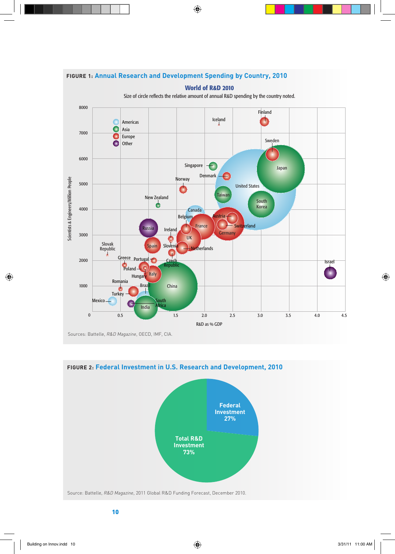

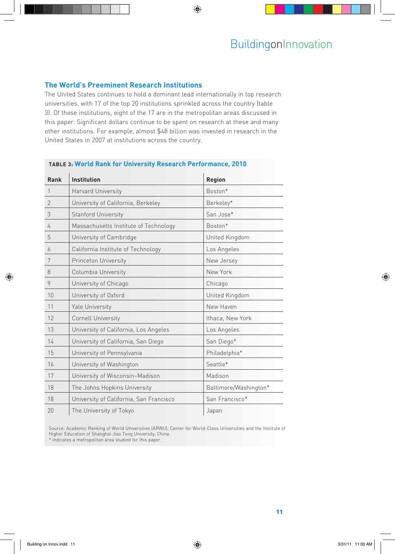#### **The World's Preeminent Research Institutions**

The United States continues to hold a dominant lead internationally in top research universities, with 17 of the top 20 institutions sprinkled across the country (table 3). Of these institutions, eight of the 17 are in the metropolitan areas discussed in this paper. Significant dollars continue to be spent on research at these and many other institutions. For example, almost \$48 billion was invested in research in the United States in 2007 at institutions across the country.

| Rank           | <b>Institution</b>                      | <b>Region</b>         |  |  |  |
|----------------|-----------------------------------------|-----------------------|--|--|--|
| 1              | Harvard University                      | Boston*               |  |  |  |
| $\overline{2}$ | University of California, Berkeley      | Berkeley*             |  |  |  |
| 3              | <b>Stanford University</b>              | San Jose*             |  |  |  |
| 4              | Massachusetts Institute of Technology   | Boston*               |  |  |  |
| 5              | University of Cambridge                 | United Kingdom        |  |  |  |
| 6              | California Institute of Technology      | Los Angeles           |  |  |  |
| 7              | Princeton University                    | New Jersey            |  |  |  |
| 8              | Columbia University                     | New York              |  |  |  |
| 9              | University of Chicago                   | Chicago               |  |  |  |
| 10             | University of Oxford                    | United Kingdom        |  |  |  |
| 11             | Yale University                         | New Haven             |  |  |  |
| 12             | <b>Cornell University</b>               | Ithaca, New York      |  |  |  |
| 13             | University of California, Los Angeles   | Los Angeles           |  |  |  |
| 14             | University of California, San Diego     | San Diego*            |  |  |  |
| 15             | University of Pennsylvania              | Philadelphia*         |  |  |  |
| 16             | University of Washington                | Seattle*              |  |  |  |
| 17             | University of Wisconsin-Madison         | Madison               |  |  |  |
| 18             | The Johns Hopkins University            | Baltimore/Washington* |  |  |  |
| 18             | University of California, San Francisco | San Francisco*        |  |  |  |
| 20             | The University of Tokyo                 | Japan                 |  |  |  |

#### **Table 3: World Rank for University Research Performance, 2010**

Source: Academic Ranking of World Universities (ARWU), Center for World-Class Universities and the Institute of Higher Education of Shanghai Jiao Tong University, China.

\* Indicates a metropolitan area studied for this paper.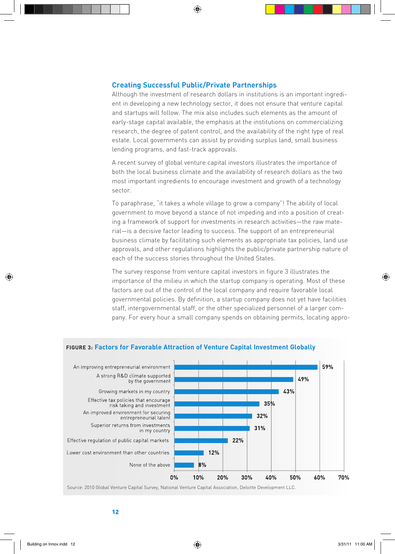#### **Creating Successful Public/Private Partnerships**

Although the investment of research dollars in institutions is an important ingredient in developing a new technology sector, it does not ensure that venture capital and startups will follow. The mix also includes such elements as the amount of early-stage capital available, the emphasis at the institutions on commercializing research, the degree of patent control, and the availability of the right type of real estate. Local governments can assist by providing surplus land, small business lending programs, and fast-track approvals.

A recent survey of global venture capital investors illustrates the importance of both the local business climate and the availability of research dollars as the two most important ingredients to encourage investment and growth of a technology sector.

To paraphrase, "it takes a whole village to grow a company"! The ability of local government to move beyond a stance of not impeding and into a position of creating a framework of support for investments in research activities—the raw material—is a decisive factor leading to success. The support of an entrepreneurial business climate by facilitating such elements as appropriate tax policies, land use approvals, and other regulations highlights the public/private partnership nature of each of the success stories throughout the United States.

The survey response from venture capital investors in figure 3 illustrates the importance of the milieu in which the startup company is operating. Most of these factors are out of the control of the local company and require favorable local governmental policies. By definition, a startup company does not yet have facilities staff, intergovernmental staff, or the other specialized personnel of a larger company. For every hour a small company spends on obtaining permits, locating appro-



#### **Figure 3: Factors for Favorable Attraction of Venture Capital Investment Globally**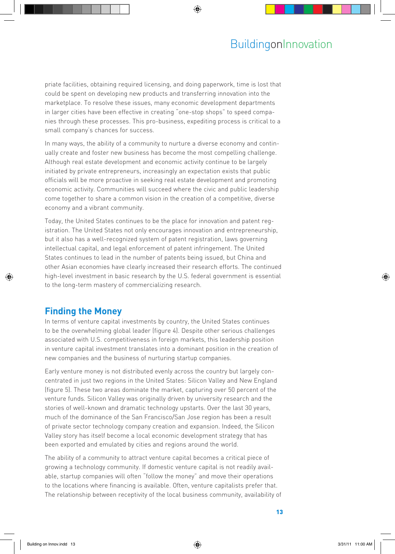priate facilities, obtaining required licensing, and doing paperwork, time is lost that could be spent on developing new products and transferring innovation into the marketplace. To resolve these issues, many economic development departments in larger cities have been effective in creating "one-stop shops" to speed companies through these processes. This pro-business, expediting process is critical to a small company's chances for success.

In many ways, the ability of a community to nurture a diverse economy and continually create and foster new business has become the most compelling challenge. Although real estate development and economic activity continue to be largely initiated by private entrepreneurs, increasingly an expectation exists that public officials will be more proactive in seeking real estate development and promoting economic activity. Communities will succeed where the civic and public leadership come together to share a common vision in the creation of a competitive, diverse economy and a vibrant community.

Today, the United States continues to be the place for innovation and patent registration. The United States not only encourages innovation and entrepreneurship, but it also has a well-recognized system of patent registration, laws governing intellectual capital, and legal enforcement of patent infringement. The United States continues to lead in the number of patents being issued, but China and other Asian economies have clearly increased their research efforts. The continued high-level investment in basic research by the U.S. federal government is essential to the long-term mastery of commercializing research.

## **Finding the Money**

In terms of venture capital investments by country, the United States continues to be the overwhelming global leader (figure 4). Despite other serious challenges associated with U.S. competitiveness in foreign markets, this leadership position in venture capital investment translates into a dominant position in the creation of new companies and the business of nurturing startup companies.

Early venture money is not distributed evenly across the country but largely concentrated in just two regions in the United States: Silicon Valley and New England (figure 5). These two areas dominate the market, capturing over 50 percent of the venture funds. Silicon Valley was originally driven by university research and the stories of well-known and dramatic technology upstarts. Over the last 30 years, much of the dominance of the San Francisco/San Jose region has been a result of private sector technology company creation and expansion. Indeed, the Silicon Valley story has itself become a local economic development strategy that has been exported and emulated by cities and regions around the world.

The ability of a community to attract venture capital becomes a critical piece of growing a technology community. If domestic venture capital is not readily available, startup companies will often "follow the money" and move their operations to the locations where financing is available. Often, venture capitalists prefer that. The relationship between receptivity of the local business community, availability of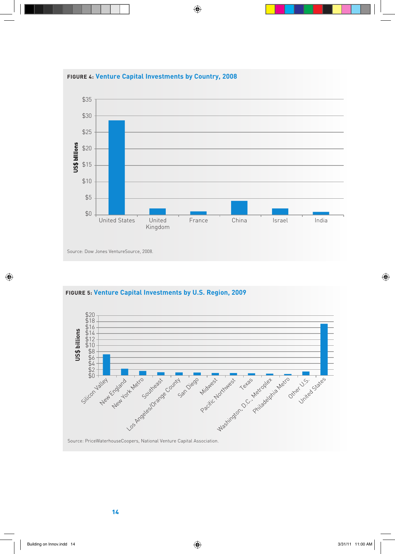



**Figure 5: Venture Capital Investments by U.S. Region, 2009**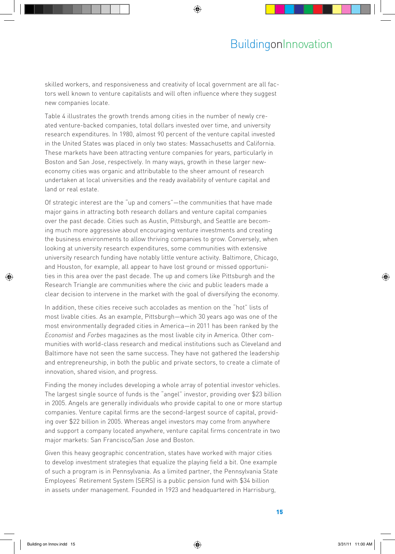skilled workers, and responsiveness and creativity of local government are all factors well known to venture capitalists and will often influence where they suggest new companies locate.

Table 4 illustrates the growth trends among cities in the number of newly created venture-backed companies, total dollars invested over time, and university research expenditures. In 1980, almost 90 percent of the venture capital invested in the United States was placed in only two states: Massachusetts and California. These markets have been attracting venture companies for years, particularly in Boston and San Jose, respectively. In many ways, growth in these larger neweconomy cities was organic and attributable to the sheer amount of research undertaken at local universities and the ready availability of venture capital and land or real estate.

Of strategic interest are the "up and comers"—the communities that have made major gains in attracting both research dollars and venture capital companies over the past decade. Cities such as Austin, Pittsburgh, and Seattle are becoming much more aggressive about encouraging venture investments and creating the business environments to allow thriving companies to grow. Conversely, when looking at university research expenditures, some communities with extensive university research funding have notably little venture activity. Baltimore, Chicago, and Houston, for example, all appear to have lost ground or missed opportunities in this area over the past decade. The up and comers like Pittsburgh and the Research Triangle are communities where the civic and public leaders made a clear decision to intervene in the market with the goal of diversifying the economy.

In addition, these cities receive such accolades as mention on the "hot" lists of most livable cities. As an example, Pittsburgh—which 30 years ago was one of the most environmentally degraded cities in America—in 2011 has been ranked by the *Economist* and *Forbes* magazines as the most livable city in America. Other communities with world-class research and medical institutions such as Cleveland and Baltimore have not seen the same success. They have not gathered the leadership and entrepreneurship, in both the public and private sectors, to create a climate of innovation, shared vision, and progress.

Finding the money includes developing a whole array of potential investor vehicles. The largest single source of funds is the "angel" investor, providing over \$23 billion in 2005. Angels are generally individuals who provide capital to one or more startup companies. Venture capital firms are the second-largest source of capital, providing over \$22 billion in 2005. Whereas angel investors may come from anywhere and support a company located anywhere, venture capital firms concentrate in two major markets: San Francisco/San Jose and Boston.

Given this heavy geographic concentration, states have worked with major cities to develop investment strategies that equalize the playing field a bit. One example of such a program is in Pennsylvania. As a limited partner, the Pennsylvania State Employees' Retirement System (SERS) is a public pension fund with \$34 billion in assets under management. Founded in 1923 and headquartered in Harrisburg,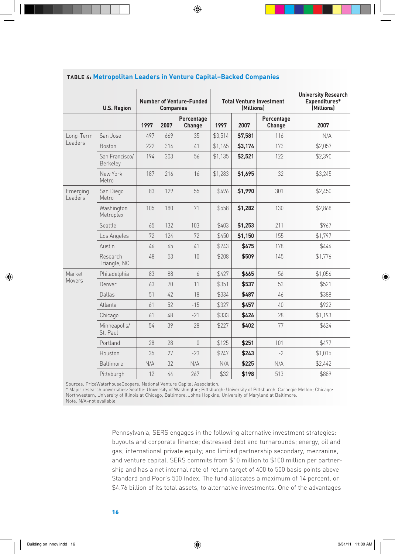|                     | <b>U.S. Region</b>         | <b>Number of Venture-Funded</b><br><b>Companies</b> |      |                      | <b>Total Venture Investment</b><br>(Millions) |         |                      | <b>University Research</b><br>Expenditures*<br>(Millions) |  |
|---------------------|----------------------------|-----------------------------------------------------|------|----------------------|-----------------------------------------------|---------|----------------------|-----------------------------------------------------------|--|
|                     |                            | 1997                                                | 2007 | Percentage<br>Change | 1997                                          | 2007    | Percentage<br>Change | 2007                                                      |  |
| Long-Term           | San Jose                   | 497                                                 | 669  | 35                   | \$3,514                                       | \$7,581 | 116                  | N/A                                                       |  |
| Leaders             | <b>Boston</b>              | 222                                                 | 314  | 41                   | \$1,165                                       | \$3,174 | 173                  | \$2,057                                                   |  |
|                     | San Francisco/<br>Berkeley | 194                                                 | 303  | 56                   | \$1,135                                       | \$2,521 | 122                  | \$2,390                                                   |  |
|                     | New York<br>Metro          | 187                                                 | 216  | 16                   | \$1,283                                       | \$1,695 | 32                   | \$3,245                                                   |  |
| Emerging<br>Leaders | San Diego<br>Metro         | 83                                                  | 129  | 55                   | \$496                                         | \$1,990 | 301                  | \$2,450                                                   |  |
|                     | Washington<br>Metroplex    | 105                                                 | 180  | 71                   | \$558                                         | \$1,282 | 130                  | \$2,868                                                   |  |
|                     | Seattle                    | 65                                                  | 132  | 103                  | \$403                                         | \$1,253 | 211                  | \$967                                                     |  |
|                     | Los Angeles                | 72                                                  | 124  | 72                   | \$450                                         | \$1,150 | 155                  | \$1,797                                                   |  |
|                     | Austin                     | 46                                                  | 65   | 41                   | \$243                                         | \$675   | 178                  | \$446                                                     |  |
|                     | Research<br>Triangle, NC   | 48                                                  | 53   | 10                   | \$208                                         | \$509   | 145                  | \$1,776                                                   |  |
| Market              | Philadelphia               | 83                                                  | 88   | 6                    | \$427                                         | \$665   | 56                   | \$1,056                                                   |  |
| Movers              | Denver                     | 63                                                  | 70   | 11                   | \$351                                         | \$537   | 53                   | \$521                                                     |  |
|                     | Dallas                     | 51                                                  | 42   | $-18$                | \$334                                         | \$487   | 46                   | \$388                                                     |  |
|                     | Atlanta                    | 61                                                  | 52   | $-15$                | \$327                                         | \$457   | 40                   | \$922                                                     |  |
|                     | Chicago                    | 61                                                  | 48   | $-21$                | \$333                                         | \$426   | 28                   | \$1,193                                                   |  |
|                     | Minneapolis/<br>St. Paul   | 54                                                  | 39   | $-28$                | \$227                                         | \$402   | 77                   | \$624                                                     |  |
|                     | Portland                   | 28                                                  | 28   | $\Omega$             | \$125                                         | \$251   | 101                  | \$477                                                     |  |
|                     | Houston                    | 35                                                  | 27   | $-23$                | \$247                                         | \$243   | $-2$                 | \$1,015                                                   |  |
|                     | <b>Baltimore</b>           | N/A                                                 | 32   | N/A                  | N/A                                           | \$225   | N/A                  | \$2,442                                                   |  |
|                     | Pittsburgh                 | 12                                                  | $44$ | 267                  | \$32                                          | \$198   | 513                  | \$889                                                     |  |

#### **Table 4: Metropolitan Leaders in Venture Capital–Backed Companies**

Sources: PriceWaterhouseCoopers, National Venture Capital Association.

\* Major research universities: Seattle: University of Washington; Pittsburgh: University of Pittsburgh, Carnegie Mellon; Chicago: Northwestern, University of Illinois at Chicago; Baltimore: Johns Hopkins, University of Maryland at Baltimore. Note: N/A=not available.

> Pennsylvania, SERS engages in the following alternative investment strategies: buyouts and corporate finance; distressed debt and turnarounds; energy, oil and gas; international private equity; and limited partnership secondary, mezzanine, and venture capital. SERS commits from \$10 million to \$100 million per partnership and has a net internal rate of return target of 400 to 500 basis points above Standard and Poor's 500 Index. The fund allocates a maximum of 14 percent, or \$4.76 billion of its total assets, to alternative investments. One of the advantages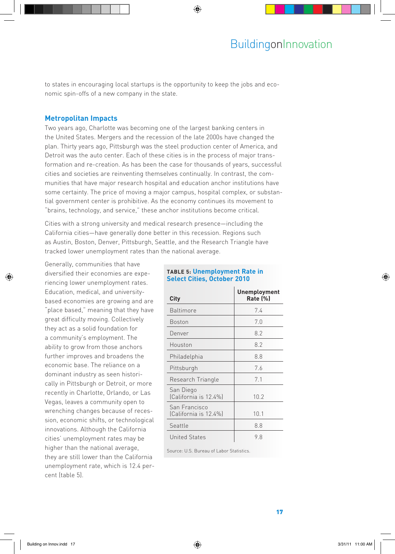to states in encouraging local startups is the opportunity to keep the jobs and economic spin-offs of a new company in the state.

#### **Metropolitan Impacts**

Two years ago, Charlotte was becoming one of the largest banking centers in the United States. Mergers and the recession of the late 2000s have changed the plan. Thirty years ago, Pittsburgh was the steel production center of America, and Detroit was the auto center. Each of these cities is in the process of major transformation and re-creation. As has been the case for thousands of years, successful cities and societies are reinventing themselves continually. In contrast, the communities that have major research hospital and education anchor institutions have some certainty. The price of moving a major campus, hospital complex, or substantial government center is prohibitive. As the economy continues its movement to "brains, technology, and service," these anchor institutions become critical.

Cities with a strong university and medical research presence—including the California cities—have generally done better in this recession. Regions such as Austin, Boston, Denver, Pittsburgh, Seattle, and the Research Triangle have tracked lower unemployment rates than the national average.

Generally, communities that have diversified their economies are experiencing lower unemployment rates. Education, medical, and universitybased economies are growing and are "place based," meaning that they have great difficulty moving. Collectively they act as a solid foundation for a community's employment. The ability to grow from those anchors further improves and broadens the economic base. The reliance on a dominant industry as seen historically in Pittsburgh or Detroit, or more recently in Charlotte, Orlando, or Las Vegas, leaves a community open to wrenching changes because of recession, economic shifts, or technological innovations. Although the California cities' unemployment rates may be higher than the national average, they are still lower than the California unemployment rate, which is 12.4 percent (table 5).

#### **Table 5: Unemployment Rate in Select Cities, October 2010**

| City                                   | Unemployment<br>Rate (%) |  |  |  |
|----------------------------------------|--------------------------|--|--|--|
| <b>Baltimore</b>                       | 7.4                      |  |  |  |
| Boston                                 | 7.0                      |  |  |  |
| Denver                                 | 8.2                      |  |  |  |
| Houston                                | 8.2                      |  |  |  |
| Philadelphia                           | 8.8                      |  |  |  |
| Pittsburgh                             | 7.6                      |  |  |  |
| Research Triangle                      | 7.1                      |  |  |  |
| San Diego<br>(California is 12.4%)     | 10.2                     |  |  |  |
| San Francisco<br>(California is 12.4%) | 10.1                     |  |  |  |
| Seattle                                | 8.8                      |  |  |  |
| <b>United States</b>                   | 9.8                      |  |  |  |

Source: U.S. Bureau of Labor Statistics.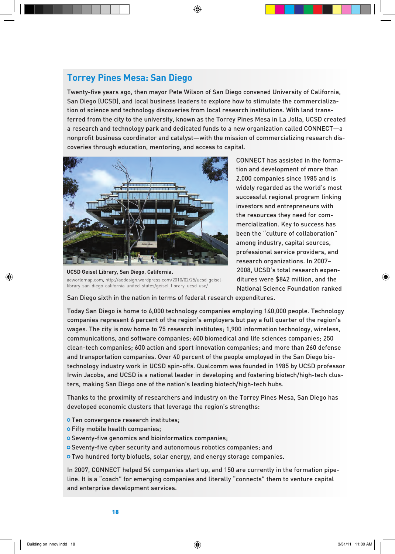## **Torrey Pines Mesa: San Diego**

Twenty-five years ago, then mayor Pete Wilson of San Diego convened University of California, San Diego (UCSD), and local business leaders to explore how to stimulate the commercialization of science and technology discoveries from local research institutions. With land transferred from the city to the university, known as the Torrey Pines Mesa in La Jolla, UCSD created a research and technology park and dedicated funds to a new organization called CONNECT—a nonprofit business coordinator and catalyst—with the mission of commercializing research discoveries through education, mentoring, and access to capital.



**UCSD Geisel Library, San Diego, California.** aeworldmap.com, http://aedesign.wordpress.com/2010/02/25/ucsd-geisellibrary-san-diego-california-united-states/geisel\_library\_ucsd-use/

CONNECT has assisted in the formation and development of more than 2,000 companies since 1985 and is widely regarded as the world's most successful regional program linking investors and entrepreneurs with the resources they need for commercialization. Key to success has been the "culture of collaboration" among industry, capital sources, professional service providers, and research organizations. In 2007– 2008, UCSD's total research expenditures were \$842 million, and the National Science Foundation ranked

San Diego sixth in the nation in terms of federal research expenditures.

Today San Diego is home to 6,000 technology companies employing 140,000 people. Technology companies represent 6 percent of the region's employers but pay a full quarter of the region's wages. The city is now home to 75 research institutes; 1,900 information technology, wireless, communications, and software companies; 600 biomedical and life sciences companies; 250 clean-tech companies; 600 action and sport innovation companies; and more than 260 defense and transportation companies. Over 40 percent of the people employed in the San Diego biotechnology industry work in UCSD spin-offs. Qualcomm was founded in 1985 by UCSD professor Irwin Jacobs, and UCSD is a national leader in developing and fostering biotech/high-tech clusters, making San Diego one of the nation's leading biotech/high-tech hubs.

Thanks to the proximity of researchers and industry on the Torrey Pines Mesa, San Diego has developed economic clusters that leverage the region's strengths:

- o Ten convergence research institutes;
- Fifty mobile health companies;
- o Seventy-five genomics and bioinformatics companies;
- o Seventy-five cyber security and autonomous robotics companies; and
- **O** Two hundred forty biofuels, solar energy, and energy storage companies.

In 2007, CONNECT helped 54 companies start up, and 150 are currently in the formation pipeline. It is a "coach" for emerging companies and literally "connects" them to venture capital and enterprise development services.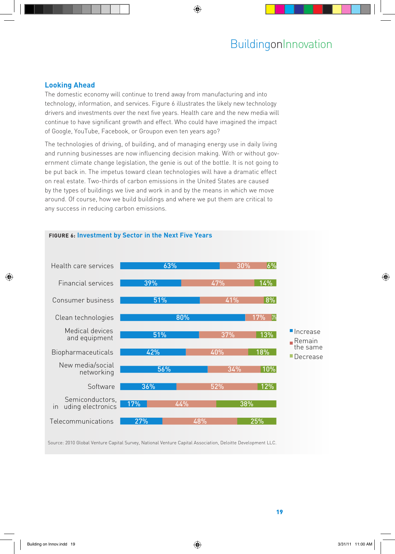#### **Looking Ahead**

The domestic economy will continue to trend away from manufacturing and into technology, information, and services. Figure 6 illustrates the likely new technology drivers and investments over the next five years. Health care and the new media will continue to have significant growth and effect. Who could have imagined the impact of Google, YouTube, Facebook, or Groupon even ten years ago?

The technologies of driving, of building, and of managing energy use in daily living and running businesses are now influencing decision making. With or without government climate change legislation, the genie is out of the bottle. It is not going to be put back in. The impetus toward clean technologies will have a dramatic effect on real estate. Two-thirds of carbon emissions in the United States are caused by the types of buildings we live and work in and by the means in which we move around. Of course, how we build buildings and where we put them are critical to any success in reducing carbon emissions.



Source: 2010 Global Venture Capital Survey, National Venture Capital Association, Deloitte Development LLC.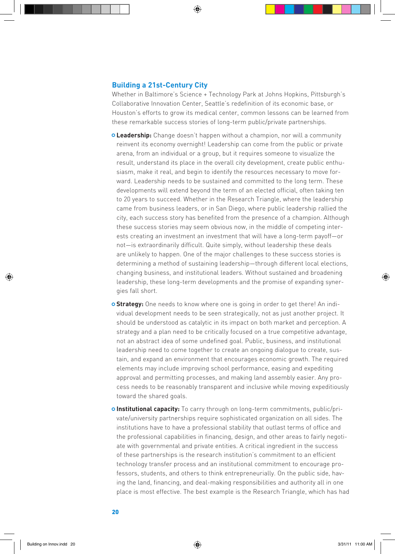#### **Building a 21st-Century City**

Whether in Baltimore's Science + Technology Park at Johns Hopkins, Pittsburgh's Collaborative Innovation Center, Seattle's redefinition of its economic base, or Houston's efforts to grow its medical center, common lessons can be learned from these remarkable success stories of long-term public/private partnerships.

- **Leadership:** Change doesn't happen without a champion, nor will a community reinvent its economy overnight! Leadership can come from the public or private arena, from an individual or a group, but it requires someone to visualize the result, understand its place in the overall city development, create public enthusiasm, make it real, and begin to identify the resources necessary to move forward. Leadership needs to be sustained and committed to the long term. These developments will extend beyond the term of an elected official, often taking ten to 20 years to succeed. Whether in the Research Triangle, where the leadership came from business leaders, or in San Diego, where public leadership rallied the city, each success story has benefited from the presence of a champion. Although these success stories may seem obvious now, in the middle of competing interests creating an investment an investment that will have a long-term payoff—or not—is extraordinarily difficult. Quite simply, without leadership these deals are unlikely to happen. One of the major challenges to these success stories is determining a method of sustaining leadership—through different local elections, changing business, and institutional leaders. Without sustained and broadening leadership, these long-term developments and the promise of expanding synergies fall short.
- **Strategy:** One needs to know where one is going in order to get there! An individual development needs to be seen strategically, not as just another project. It should be understood as catalytic in its impact on both market and perception. A strategy and a plan need to be critically focused on a true competitive advantage, not an abstract idea of some undefined goal. Public, business, and institutional leadership need to come together to create an ongoing dialogue to create, sustain, and expand an environment that encourages economic growth. The required elements may include improving school performance, easing and expediting approval and permitting processes, and making land assembly easier. Any process needs to be reasonably transparent and inclusive while moving expeditiously toward the shared goals.
- **Institutional capacity:** To carry through on long-term commitments, public/private/university partnerships require sophisticated organization on all sides. The institutions have to have a professional stability that outlast terms of office and the professional capabilities in financing, design, and other areas to fairly negotiate with governmental and private entities. A critical ingredient in the success of these partnerships is the research institution's commitment to an efficient technology transfer process and an institutional commitment to encourage professors, students, and others to think entrepreneurially. On the public side, having the land, financing, and deal-making responsibilities and authority all in one place is most effective. The best example is the Research Triangle, which has had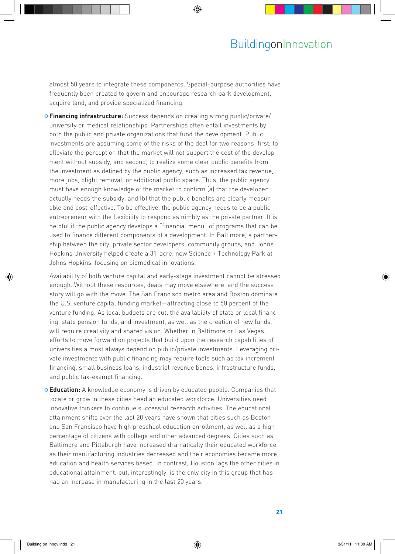almost 50 years to integrate these components. Special-purpose authorities have frequently been created to govern and encourage research park development, acquire land, and provide specialized financing.

**Financing infrastructure:** Success depends on creating strong public/private/ university or medical relationships. Partnerships often entail investments by both the public and private organizations that fund the development. Public investments are assuming some of the risks of the deal for two reasons: first, to alleviate the perception that the market will not support the cost of the development without subsidy, and second, to realize some clear public benefits from the investment as defined by the public agency, such as increased tax revenue, more jobs, blight removal, or additional public space. Thus, the public agency must have enough knowledge of the market to confirm (a) that the developer actually needs the subsidy, and (b) that the public benefits are clearly measurable and cost-effective. To be effective, the public agency needs to be a public entrepreneur with the flexibility to respond as nimbly as the private partner. It is helpful if the public agency develops a "financial menu" of programs that can be used to finance different components of a development. In Baltimore, a partnership between the city, private sector developers, community groups, and Johns Hopkins University helped create a 31-acre, new Science + Technology Park at Johns Hopkins, focusing on biomedical innovations.

Availability of both venture capital and early-stage investment cannot be stressed enough. Without these resources, deals may move elsewhere, and the success story will go with the move. The San Francisco metro area and Boston dominate the U.S. venture capital funding market—attracting close to 50 percent of the venture funding. As local budgets are cut, the availability of state or local financing, state pension funds, and investment, as well as the creation of new funds, will require creativity and shared vision. Whether in Baltimore or Las Vegas, efforts to move forward on projects that build upon the research capabilities of universities almost always depend on public/private investments. Leveraging private investments with public financing may require tools such as tax increment financing, small business loans, industrial revenue bonds, infrastructure funds, and public tax-exempt financing.

**Education:** A knowledge economy is driven by educated people. Companies that locate or grow in these cities need an educated workforce. Universities need innovative thinkers to continue successful research activities. The educational attainment shifts over the last 20 years have shown that cities such as Boston and San Francisco have high preschool education enrollment, as well as a high percentage of citizens with college and other advanced degrees. Cities such as Baltimore and Pittsburgh have increased dramatically their educated workforce as their manufacturing industries decreased and their economies became more education and health services based. In contrast, Houston lags the other cities in educational attainment, but, interestingly, is the only city in this group that has had an increase in manufacturing in the last 20 years.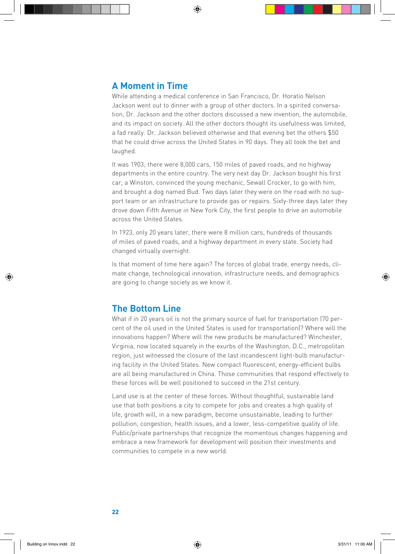## **A Moment in Time**

While attending a medical conference in San Francisco, Dr. Horatio Nelson Jackson went out to dinner with a group of other doctors. In a spirited conversation, Dr. Jackson and the other doctors discussed a new invention, the automobile, and its impact on society. All the other doctors thought its usefulness was limited, a fad really. Dr. Jackson believed otherwise and that evening bet the others \$50 that he could drive across the United States in 90 days. They all took the bet and laughed.

It was 1903; there were 8,000 cars, 150 miles of paved roads, and no highway departments in the entire country. The very next day Dr. Jackson bought his first car, a Winston, convinced the young mechanic, Sewall Crocker, to go with him, and brought a dog named Bud. Two days later they were on the road with no support team or an infrastructure to provide gas or repairs. Sixty-three days later they drove down Fifth Avenue in New York City, the first people to drive an automobile across the United States.

In 1923, only 20 years later, there were 8 million cars, hundreds of thousands of miles of paved roads, and a highway department in every state. Society had changed virtually overnight.

Is that moment of time here again? The forces of global trade, energy needs, climate change, technological innovation, infrastructure needs, and demographics are going to change society as we know it.

### **The Bottom Line**

What if in 20 years oil is not the primary source of fuel for transportation (70 percent of the oil used in the United States is used for transportation)? Where will the innovations happen? Where will the new products be manufactured? Winchester, Virginia, now located squarely in the exurbs of the Washington, D.C., metropolitan region, just witnessed the closure of the last incandescent light-bulb manufacturing facility in the United States. New compact fluorescent, energy-efficient bulbs are all being manufactured in China. Those communities that respond effectively to these forces will be well positioned to succeed in the 21st century.

Land use is at the center of these forces. Without thoughtful, sustainable land use that both positions a city to compete for jobs and creates a high quality of life, growth will, in a new paradigm, become unsustainable, leading to further pollution, congestion, health issues, and a lower, less-competitive quality of life. Public/private partnerships that recognize the momentous changes happening and embrace a new framework for development will position their investments and communities to compete in a new world.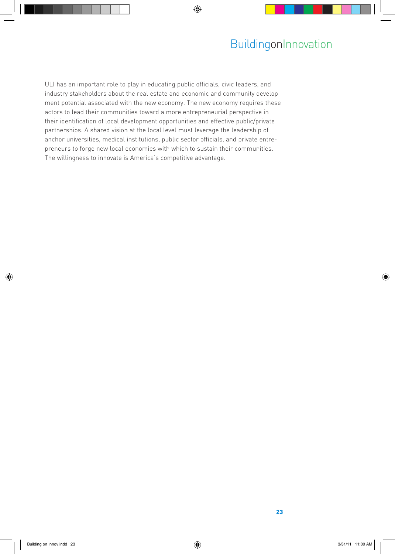ULI has an important role to play in educating public officials, civic leaders, and industry stakeholders about the real estate and economic and community development potential associated with the new economy. The new economy requires these actors to lead their communities toward a more entrepreneurial perspective in their identification of local development opportunities and effective public/private partnerships. A shared vision at the local level must leverage the leadership of anchor universities, medical institutions, public sector officials, and private entrepreneurs to forge new local economies with which to sustain their communities. The willingness to innovate is America's competitive advantage.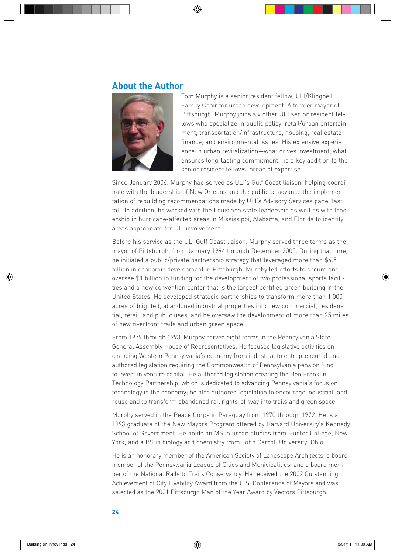#### **About the Author**



Tom Murphy is a senior resident fellow, ULI/Klingbeil Family Chair for urban development. A former mayor of Pittsburgh, Murphy joins six other ULI senior resident fellows who specialize in public policy, retail/urban entertainment, transportation/infrastructure, housing, real estate finance, and environmental issues. His extensive experience in urban revitalization—what drives investment, what ensures long-lasting commitment—is a key addition to the senior resident fellows' areas of expertise.

Since January 2006, Murphy had served as ULI's Gulf Coast liaison, helping coordinate with the leadership of New Orleans and the public to advance the implementation of rebuilding recommendations made by ULI's Advisory Services panel last fall. In addition, he worked with the Louisiana state leadership as well as with leadership in hurricane-affected areas in Mississippi, Alabama, and Florida to identify areas appropriate for ULI involvement.

Before his service as the ULI Gulf Coast liaison, Murphy served three terms as the mayor of Pittsburgh, from January 1994 through December 2005. During that time, he initiated a public/private partnership strategy that leveraged more than \$4.5 billion in economic development in Pittsburgh. Murphy led efforts to secure and oversee \$1 billion in funding for the development of two professional sports facilities and a new convention center that is the largest certified green building in the United States. He developed strategic partnerships to transform more than 1,000 acres of blighted, abandoned industrial properties into new commercial, residential, retail, and public uses, and he oversaw the development of more than 25 miles of new riverfront trails and urban green space.

From 1979 through 1993, Murphy served eight terms in the Pennsylvania State General Assembly House of Representatives. He focused legislative activities on changing Western Pennsylvania's economy from industrial to entrepreneurial and authored legislation requiring the Commonwealth of Pennsylvania pension fund to invest in venture capital. He authored legislation creating the Ben Franklin Technology Partnership, which is dedicated to advancing Pennsylvania's focus on technology in the economy; he also authored legislation to encourage industrial land reuse and to transform abandoned rail rights-of-way into trails and green space.

Murphy served in the Peace Corps in Paraguay from 1970 through 1972. He is a 1993 graduate of the New Mayors Program offered by Harvard University's Kennedy School of Government. He holds an MS in urban studies from Hunter College, New York, and a BS in biology and chemistry from John Carroll University, Ohio.

He is an honorary member of the American Society of Landscape Architects, a board member of the Pennsylvania League of Cities and Municipalities, and a board member of the National Rails to Trails Conservancy. He received the 2002 Outstanding Achievement of City Livability Award from the U.S. Conference of Mayors and was selected as the 2001 Pittsburgh Man of the Year Award by Vectors Pittsburgh.